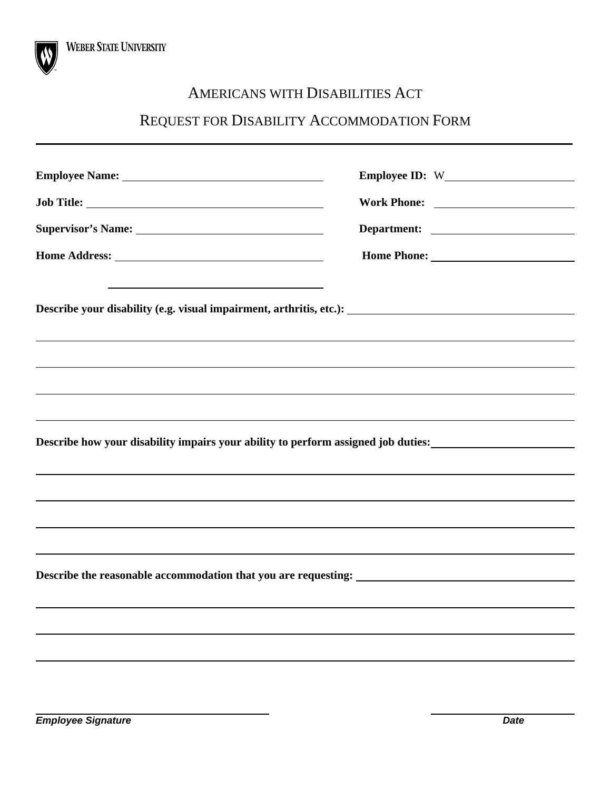

### AMERICANS WITH DISABILITIES ACT

## REQUEST FOR DISABILITY ACCOMMODATION FORM

| Supervisor's Name:                                                                                                                                                            |  |
|-------------------------------------------------------------------------------------------------------------------------------------------------------------------------------|--|
|                                                                                                                                                                               |  |
| ,我们也不会有什么。""我们的人,我们也不会有什么?""我们的人,我们也不会有什么?""我们的人,我们也不会有什么?""我们的人,我们也不会有什么?""我们的人                                                                                              |  |
|                                                                                                                                                                               |  |
|                                                                                                                                                                               |  |
| Describe how your disability impairs your ability to perform assigned job duties:<br><u>Describe how your disability impairs your ability to perform assigned job duties:</u> |  |
|                                                                                                                                                                               |  |
|                                                                                                                                                                               |  |
|                                                                                                                                                                               |  |
|                                                                                                                                                                               |  |
|                                                                                                                                                                               |  |
|                                                                                                                                                                               |  |
|                                                                                                                                                                               |  |
|                                                                                                                                                                               |  |
|                                                                                                                                                                               |  |

**Employee Signature Date 2018 2018 2019 2018 2019 2018 2019 2018 2019 2018 2019 2018 2019 2018 2019 2018 2019 2018**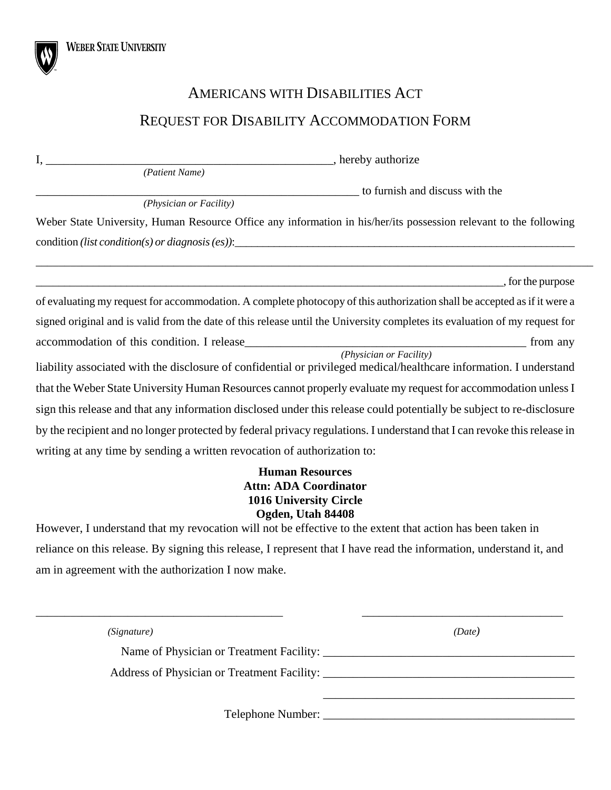# AMERICANS WITH DISABILITIES ACT REQUEST FOR DISABILITY ACCOMMODATION FORM

| I,                                                                                                                         | <sub>-</sub> , hereby authorize |
|----------------------------------------------------------------------------------------------------------------------------|---------------------------------|
| (Patient Name)                                                                                                             |                                 |
|                                                                                                                            | to furnish and discuss with the |
| (Physician or Facility)                                                                                                    |                                 |
| Weber State University, Human Resource Office any information in his/her/its possession relevant to the following          |                                 |
| $condition (list condition(s) or diagnosis (es)):\n$                                                                       |                                 |
|                                                                                                                            |                                 |
|                                                                                                                            | , for the purpose               |
| of evaluating my request for accommodation. A complete photocopy of this authorization shall be accepted as if it were a   |                                 |
| signed original and is valid from the date of this release until the University completes its evaluation of my request for |                                 |
|                                                                                                                            | from any                        |
| liability associated with the disclosure of confidential or privileged medical/healthcare information. I understand        | (Physician or Facility)         |
| that the Weber State University Human Resources cannot properly evaluate my request for accommodation unless I             |                                 |
| sign this release and that any information disclosed under this release could potentially be subject to re-disclosure      |                                 |
| by the recipient and no longer protected by federal privacy regulations. I understand that I can revoke this release in    |                                 |
| writing at any time by sending a written revocation of authorization to:                                                   |                                 |
| Humon Docourcos                                                                                                            |                                 |

#### **Human Resources Attn: ADA Coordinator 1016 University Circle Ogden, Utah 84408**

However, I understand that my revocation will not be effective to the extent that action has been taken in reliance on this release. By signing this release, I represent that I have read the information, understand it, and am in agreement with the authorization I now make.

| (Signature) | (Date) |
|-------------|--------|
|             |        |
|             |        |
|             |        |